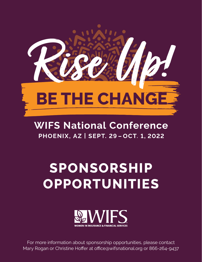

## **WIFS National Conference PHOENIX, AZ | SEPT. 29-OCT. 1, 2022**

# **SPONSORSHIP OPPORTUNITIES**



For more information about sponsorship opportunities, please contact Mary Rogan or Christine Hoffer at office@wifsnational.org or 866-264-9437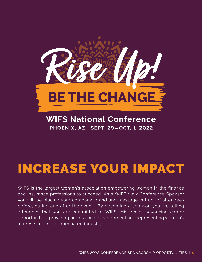

**WIFS National Conference PHOENIX, AZ | SEPT. 29-OCT. 1, 2022** 

# INCREASE YOUR IMPACT

WIFS is the largest women's association empowering women in the finance and insurance professions to succeed. As a WIFS 2022 Conference Sponsor you will be placing your company, brand and message in front of attendees before, during and after the event. By becoming a sponsor, you are telling attendees that you are committed to WIFS' Mission of advancing career opportunities, providing professional development and representing women's interests in a male-dominated industry.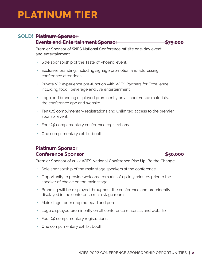## **PLATINUM TIER**

### **SOLD! Platinum Sponsor:**

#### **Events and Entertainment Sponsor 575,000**

Premier Sponsor of WIFS National Conference off site one-day event and entertainment.

- Sole sponsorship of the Taste of Phoenix event.
- **•** Exclusive branding, including signage promotion and addressing conference attendees.
- **•** Private VIP experience pre-function with WIFS Partners for Excellence, including food, beverage and live entertainment.
- **•** Logo and branding displayed prominently on all conference materials, the conference app and website.
- **•** Ten (10) complimentary registrations and unlimited access to the premier sponsor event.
- **•** Four (4) complimentary conference registrations.
- **•** One complimentary exhibit booth.

### **Platinum Sponsor: Conference Sponsor \$50,000**

Premier Sponsor of 2022 WIFS National Conference Rise Up…Be the Change.

- Sole sponsorship of the main stage speakers at the conference.
- **•** Opportunity to provide welcome remarks of up to 3 minutes prior to the speaker of choice on the main stage.
- **•** Branding will be displayed throughout the conference and prominently displayed in the conference main stage room.
- **•** Main stage room drop notepad and pen.
- **•** Logo displayed prominently on all conference materials and website.
- **•** Four (4) complimentary registrations.
- **•** One complimentary exhibit booth.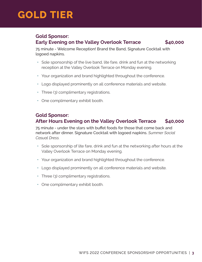## **GOLD TIER**

#### **Gold Sponsor: Early Evening on the Valley Overlook Terrace \$40,000**

75 minute - Welcome Reception! Brand the Band, Signature Cocktail with logoed napkins.

- **•** Sole sponsorship of the live band, lite fare, drink and fun at the networking reception at the Valley Overlook Terrace on Monday evening.
- **•** Your organization and brand highlighted throughout the conference.
- **•** Logo displayed prominently on all conference materials and website.
- **•** Three (3) complimentary registrations.
- **•** One complimentary exhibit booth.

#### **Gold Sponsor: After Hours Evening on the Valley Overlook Terrace \$40,000**

75 minute - under the stars with buffet foods for those that come back and network after dinner. Signature Cocktail with logoed napkins. *Summer Social Casual Dress.*

- **•** Sole sponsorship of lite fare, drink and fun at the networking after hours at the Valley Overlook Terrace on Monday evening.
- **•** Your organization and brand highlighted throughout the conference.
- **•** Logo displayed prominently on all conference materials and website.
- **•** Three (3) complimentary registrations.
- **•** One complimentary exhibit booth.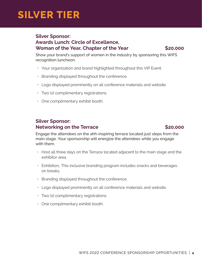## **SILVER TIER**

### **Silver Sponsor: Awards Lunch: Circle of Excellence, Woman of the Year, Chapter of the Year \$20,000**

Show your brand's support of women in the industry by sponsoring this WIFS recognition luncheon. 

- **•** Your organization and brand highlighted throughout this VIP Event.
- **•** Branding displayed throughout the conference.
- **•** Logo displayed prominently on all conference materials and website.
- **•** Two (2) complimentary registrations.
- **•** One complimentary exhibit booth.

### **Silver Sponsor: Networking on the Terrace**  $\sim$  **\$20,000**

Engage the attendees on the ahh-inspiring terrace located just steps from the main stage. Your sponsorship will energize the attendees while you engage with them.

- Host all three days on the Terrace located adjacent to the main stage and the exhibitor area.
- **•** Exhibitors. This inclusive branding program includes snacks and beverages on breaks.
- **•** Branding displayed throughout the conference.
- **•** Logo displayed prominently on all conference materials and website.
- **•** Two (2) complimentary registrations.
- **•** One complimentary exhibit booth.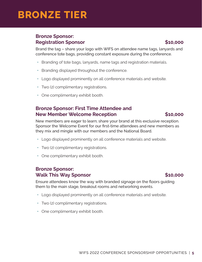## **BRONZE TIER**

### **Bronze Sponsor: Registration Sponsor \$10,000**

Brand the tag – share your logo with WIFS on attendee name tags, lanyards and conference tote bags, providing constant exposure during the conference.

- Branding of tote bags, lanyards, name tags and registration materials.
- **•** Branding displayed throughout the conference.
- **•** Logo displayed prominently on all conference materials and website.
- **•** Two (2) complimentary registrations.
- **•** One complimentary exhibit booth.

### **Bronze Sponsor: First Time Attendee and New Member Welcome Reception 610,000 \$10,000**

New members are eager to learn; share your brand at this exclusive reception. Sponsor the Welcome Event for our first-time attendees and new members as they mix and mingle with our members and the National Board.

- **•** Logo displayed prominently on all conference materials and website.
- **•** Two (2) complimentary registrations.
- **•** One complimentary exhibit booth.

#### **Bronze Sponsor: Walk This Way Sponsor 610,000 \$10,000**

Ensure attendees know the way with branded signage on the floors guiding them to the main stage, breakout rooms and networking events.

- **•** Logo displayed prominently on all conference materials and website.
- **•** Two (2) complimentary registrations.
- **•** One complimentary exhibit booth.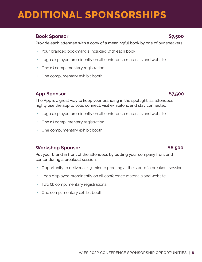#### **Book Sponsor \$7,500**

Provide each attendee with a copy of a meaningful book by one of our speakers.

- **•** Your branded bookmark is included with each book.
- **•** Logo displayed prominently on all conference materials and website.
- **•** One (1) complimentary registration.
- **•** One complimentary exhibit booth.

### **App Sponsor \$7,500**

The App is a great way to keep your branding in the spotlight, as attendees highly use the app to vote, connect, visit exhibitors, and stay connected.

- **•** ➢Logo displayed prominently on all conference materials and website.
- **•** One (1) complimentary registration.
- **•** One complimentary exhibit booth.

#### **Workshop Sponsor \$6,500**

Put your brand in front of the attendees by putting your company front and center during a breakout session.

- **•** ➢Opportunity to deliver a 2–3-minute greeting at the start of a breakout session.
- **•** Logo displayed prominently on all conference materials and website.
- **•** Two (2) complimentary registrations.
- **•** One complimentary exhibit booth.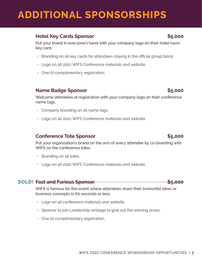### **Hotel Key Cards Sponsor \$5,000 \$5,000 \$5,000 \$5,000 \$5,000 \$5,000 \$5,000 \$5,000 \$5,000 \$5,000 \$5,000 \$5,000 \$5,000 \$5,000 \$5,000 \$5,000 \$6,000 \$6,000 \$5,000 \$6,000 \$6,000 \$6,000 \$6,000 \$6,000 \$6,000 \$6,000 \$6,000 \$6,000 \$**

Put your brand in everyone's hand with your company logo on their hotel room key card.

- **•** Branding on all key cards for attendees staying in the official group block.
- **•** Logo on all 2022 WIFS Conference materials and website.
- **•** One (1) complimentary registration.

### **Name Badge Sponsor \$5,000**

Welcome attendees at registration with your company logo on their conference name tags.

- **•** Company branding on all name tags.
- **•** Logo on all 2022 WIFS Conference materials and website.

#### **Conference Tote Sponsor 65,000**

Put your organization's brand on the arm of every attendee by co-branding with WIFS on the conference totes.

- **•** Branding on all totes.
- **•** Logo on all 2022 WIFS Conference materials and website.

#### **SOLD!** Fast and Furious Sponsor  $\leftarrow$  \$5,000

WIFS is famous for this event where attendees share their brainchild ideas or business concepts in 60 seconds or less.

- **•** Logo on all conference materials and website.
- **•** Sponsor to join Leadership onstage to give out the winning prizes.
- **•** One (1) complimentary registration.



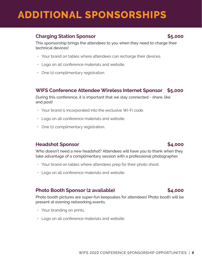### **Charging Station Sponsor 65,000 \$5,000**

This sponsorship brings the attendees to you when they need to charge their technical devices!

- **•** Your brand on tables where attendees can recharge their devices.
- **•** Logo on all conference materials and website.
- **•** One (1) complimentary registration.

#### **WIFS Conference Attendee Wireless Internet Sponsor \$5,000**

During this conference, it is important that we stay connected - share, like and post!

- **•** Your brand is incorporated into the exclusive Wi-Fi code.
- **•** Logo on all conference materials and website.
- **•** One (1) complimentary registration.

#### **Headshot Sponsor \$4,000**

Who doesn't need a new headshot? Attendees will have you to thank when they take advantage of a complimentary session with a professional photographer.

- **•** Your brand on tables where attendees prep for their photo shoot.
- **•** Logo on all conference materials and website.

#### Photo Booth Sponsor (2 available) **\$4,000**

Photo booth pictures are super-fun keepsakes for attendees! Photo booth will be present at evening networking events.

- **•** Your branding on prints.
- **•** Logo on all conference materials and website.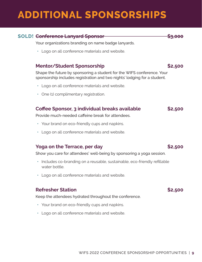### **SOLD!** Conference Lanyard Sponsor  $\frac{1}{3}$ ,000

 Your organizations branding on name badge lanyards.

**•** Logo on all conference materials and website.

### **Mentor/Student Sponsorship**  $$2,500$

Shape the future by sponsoring a student for the WIFS conference. Your sponsorship includes registration and two nights' lodging for a student.

- **•** Logo on all conference materials and website.
- **•** One (1) complimentary registration.

#### **Coffee Sponsor, 3 individual breaks available \$2,500**

 Provide much-needed caffeine break for attendees.

- **•** Your brand on eco-friendly cups and napkins.
- **•** Logo on all conference materials and website.

#### **Yoga on the Terrace, per day be a set of the S2,500**

 Show you care for attendees' well-being by sponsoring a yoga session.

- **•** Includes co-branding on a reusable, sustainable, eco-friendly refillable water bottle.
- **•** Logo on all conference materials and website.

#### **Refresher Station #2,5000 \$2,500**

 Keep the attendees hydrated throughout the conference.

- **•** Your brand on eco-friendly cups and napkins.
- **•** Logo on all conference materials and website.